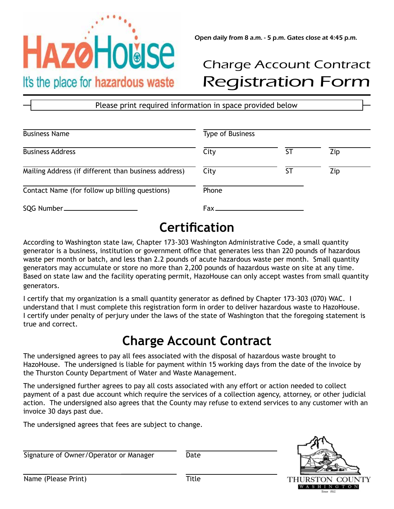

Open daily from 8 a.m. - 5 p.m. Gates close at 4:45 p.m.

## Charge Account Contract Registration Form

Please print required information in space provided below

| <b>Business Name</b>                                 | <b>Type of Business</b> |    |     |  |
|------------------------------------------------------|-------------------------|----|-----|--|
| <b>Business Address</b>                              | City                    | ST | Zip |  |
| Mailing Address (if different than business address) | City                    | ST | Zip |  |
| Contact Name (for follow up billing questions)       | Phone                   |    |     |  |
| SQG Number________________________                   | Fax_                    |    |     |  |

## **Certification**

According to Washington state law, Chapter 173-303 Washington Administrative Code, a small quantity generator is a business, institution or government office that generates less than 220 pounds of hazardous waste per month or batch, and less than 2.2 pounds of acute hazardous waste per month. Small quantity generators may accumulate or store no more than 2,200 pounds of hazardous waste on site at any time. Based on state law and the facility operating permit, HazoHouse can only accept wastes from small quantity generators.

I certify that my organization is a small quantity generator as defined by Chapter 173-303 (070) WAC. I understand that I must complete this registration form in order to deliver hazardous waste to HazoHouse. I certify under penalty of perjury under the laws of the state of Washington that the foregoing statement is true and correct.

## **Charge Account Contract**

The undersigned agrees to pay all fees associated with the disposal of hazardous waste brought to HazoHouse. The undersigned is liable for payment within 15 working days from the date of the invoice by the Thurston County Department of Water and Waste Management.

The undersigned further agrees to pay all costs associated with any effort or action needed to collect payment of a past due account which require the services of a collection agency, attorney, or other judicial action. The undersigned also agrees that the County may refuse to extend services to any customer with an invoice 30 days past due.

The undersigned agrees that fees are subject to change.

Signature of Owner/Operator or Manager Date